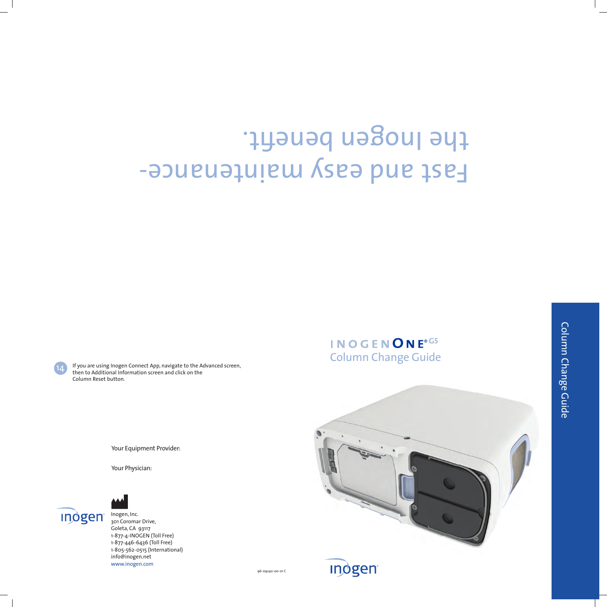96-09240-00-01 C

Your Equipment Provider:

Your Physician:

## Fast and Gast maintenancethe Inogen benefit.

Column Change Guide

INOGENONE®G5

If you are using Inogen Connect App, navigate to the Advanced screen, then to Additional Information screen and click on the Column Reset button.





Inogen, Inc. 301 Coromar Drive, Goleta, CA 93117 1-877-4-INOGEN (Toll Free) 1-877-446-6436 (Toll Free) 1-805-562-0515 (International) info@inogen.net www.inogen.com